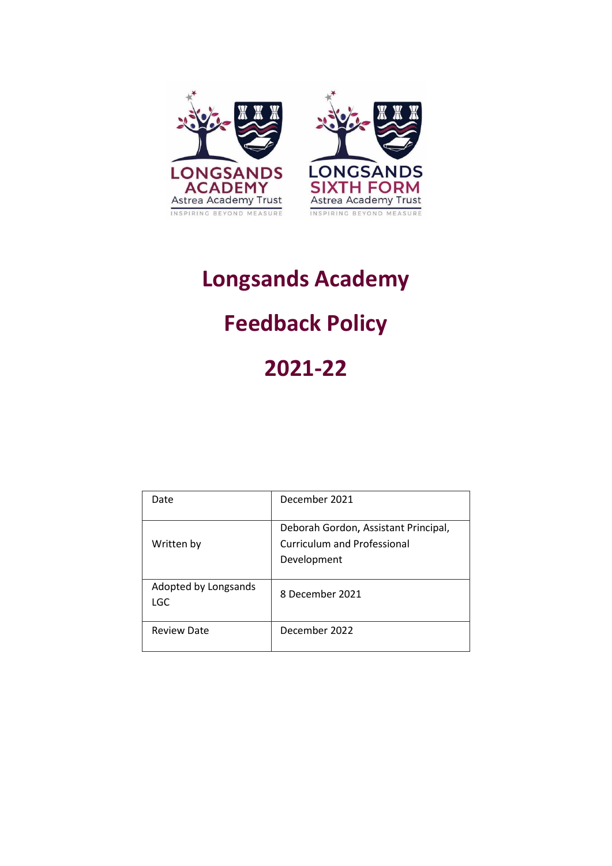

# **Longsands Academy**

## **Feedback Policy**

### **2021-22**

| Date                        | December 2021                                                                             |
|-----------------------------|-------------------------------------------------------------------------------------------|
| Written by                  | Deborah Gordon, Assistant Principal,<br><b>Curriculum and Professional</b><br>Development |
| Adopted by Longsands<br>LGC | 8 December 2021                                                                           |
| <b>Review Date</b>          | December 2022                                                                             |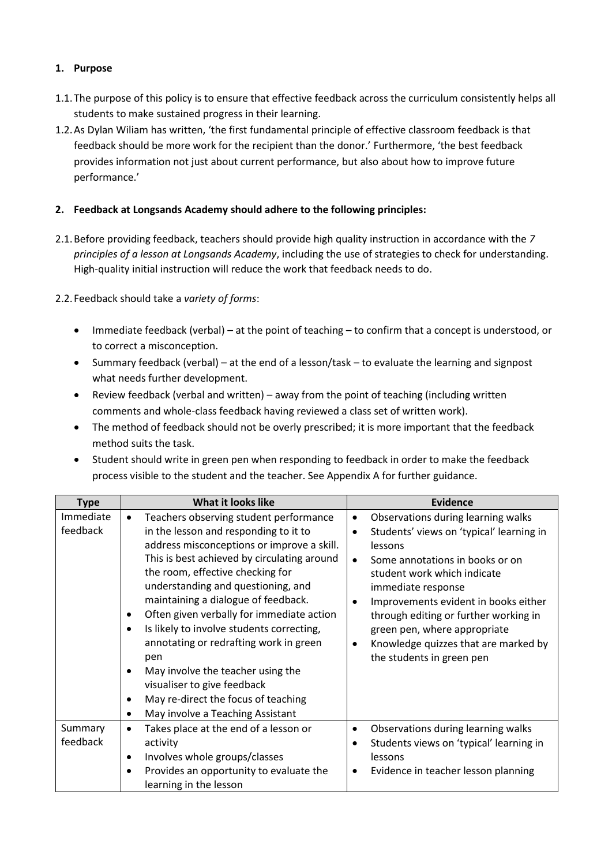#### **1. Purpose**

- 1.1.The purpose of this policy is to ensure that effective feedback across the curriculum consistently helps all students to make sustained progress in their learning.
- 1.2.As Dylan Wiliam has written, 'the first fundamental principle of effective classroom feedback is that feedback should be more work for the recipient than the donor.' Furthermore, 'the best feedback provides information not just about current performance, but also about how to improve future performance.'

#### **2. Feedback at Longsands Academy should adhere to the following principles:**

2.1.Before providing feedback, teachers should provide high quality instruction in accordance with the *7 principles of a lesson at Longsands Academy*, including the use of strategies to check for understanding. High-quality initial instruction will reduce the work that feedback needs to do.

2.2.Feedback should take a *variety of forms*:

- Immediate feedback (verbal) at the point of teaching to confirm that a concept is understood, or to correct a misconception.
- Summary feedback (verbal) at the end of a lesson/task to evaluate the learning and signpost what needs further development.
- Review feedback (verbal and written) away from the point of teaching (including written comments and whole-class feedback having reviewed a class set of written work).
- The method of feedback should not be overly prescribed; it is more important that the feedback method suits the task.
- Student should write in green pen when responding to feedback in order to make the feedback process visible to the student and the teacher. See Appendix A for further guidance.

| <b>Type</b>           | <b>What it looks like</b>                                                                                                                                                                                                                                                                                                                                                                                                                                                                                                                                                                                                                   | <b>Evidence</b>                                                                                                                                                                                                                                                                                                                                                                                                                          |
|-----------------------|---------------------------------------------------------------------------------------------------------------------------------------------------------------------------------------------------------------------------------------------------------------------------------------------------------------------------------------------------------------------------------------------------------------------------------------------------------------------------------------------------------------------------------------------------------------------------------------------------------------------------------------------|------------------------------------------------------------------------------------------------------------------------------------------------------------------------------------------------------------------------------------------------------------------------------------------------------------------------------------------------------------------------------------------------------------------------------------------|
| Immediate<br>feedback | Teachers observing student performance<br>$\bullet$<br>in the lesson and responding to it to<br>address misconceptions or improve a skill.<br>This is best achieved by circulating around<br>the room, effective checking for<br>understanding and questioning, and<br>maintaining a dialogue of feedback.<br>Often given verbally for immediate action<br>$\bullet$<br>Is likely to involve students correcting,<br>annotating or redrafting work in green<br>pen<br>May involve the teacher using the<br>visualiser to give feedback<br>May re-direct the focus of teaching<br>$\bullet$<br>May involve a Teaching Assistant<br>$\bullet$ | Observations during learning walks<br>$\bullet$<br>Students' views on 'typical' learning in<br>$\bullet$<br>lessons<br>Some annotations in books or on<br>$\bullet$<br>student work which indicate<br>immediate response<br>Improvements evident in books either<br>$\bullet$<br>through editing or further working in<br>green pen, where appropriate<br>Knowledge quizzes that are marked by<br>$\bullet$<br>the students in green pen |
| Summary<br>feedback   | Takes place at the end of a lesson or<br>activity<br>Involves whole groups/classes<br>$\bullet$<br>Provides an opportunity to evaluate the<br>learning in the lesson                                                                                                                                                                                                                                                                                                                                                                                                                                                                        | Observations during learning walks<br>$\bullet$<br>Students views on 'typical' learning in<br>lessons<br>Evidence in teacher lesson planning<br>$\bullet$                                                                                                                                                                                                                                                                                |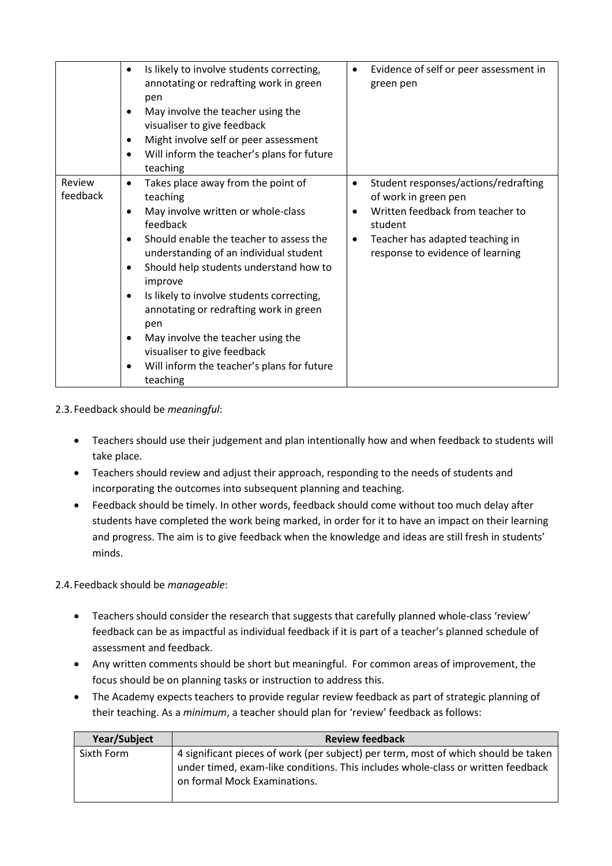|                    | Is likely to involve students correcting,<br>$\bullet$<br>annotating or redrafting work in green<br>pen<br>May involve the teacher using the<br>visualiser to give feedback<br>Might involve self or peer assessment<br>Will inform the teacher's plans for future<br>teaching                                                                                                                                                                                         | Evidence of self or peer assessment in<br>$\bullet$<br>green pen                                                                                                                                     |
|--------------------|------------------------------------------------------------------------------------------------------------------------------------------------------------------------------------------------------------------------------------------------------------------------------------------------------------------------------------------------------------------------------------------------------------------------------------------------------------------------|------------------------------------------------------------------------------------------------------------------------------------------------------------------------------------------------------|
| Review<br>feedback | Takes place away from the point of<br>teaching<br>May involve written or whole-class<br>feedback<br>Should enable the teacher to assess the<br>understanding of an individual student<br>Should help students understand how to<br>improve<br>Is likely to involve students correcting,<br>annotating or redrafting work in green<br>pen<br>May involve the teacher using the<br>visualiser to give feedback<br>Will inform the teacher's plans for future<br>teaching | Student responses/actions/redrafting<br>$\bullet$<br>of work in green pen<br>Written feedback from teacher to<br>student<br>Teacher has adapted teaching in<br>٠<br>response to evidence of learning |

2.3.Feedback should be *meaningful*:

- Teachers should use their judgement and plan intentionally how and when feedback to students will take place.
- Teachers should review and adjust their approach, responding to the needs of students and incorporating the outcomes into subsequent planning and teaching.
- Feedback should be timely. In other words, feedback should come without too much delay after students have completed the work being marked, in order for it to have an impact on their learning and progress. The aim is to give feedback when the knowledge and ideas are still fresh in students' minds.

2.4.Feedback should be *manageable*:

- Teachers should consider the research that suggests that carefully planned whole-class 'review' feedback can be as impactful as individual feedback if it is part of a teacher's planned schedule of assessment and feedback.
- Any written comments should be short but meaningful. For common areas of improvement, the focus should be on planning tasks or instruction to address this.
- The Academy expects teachers to provide regular review feedback as part of strategic planning of their teaching. As a *minimum*, a teacher should plan for 'review' feedback as follows:

| <b>Year/Subject</b> | <b>Review feedback</b>                                                                                                                                                                                 |
|---------------------|--------------------------------------------------------------------------------------------------------------------------------------------------------------------------------------------------------|
| Sixth Form          | 4 significant pieces of work (per subject) per term, most of which should be taken<br>under timed, exam-like conditions. This includes whole-class or written feedback<br>on formal Mock Examinations. |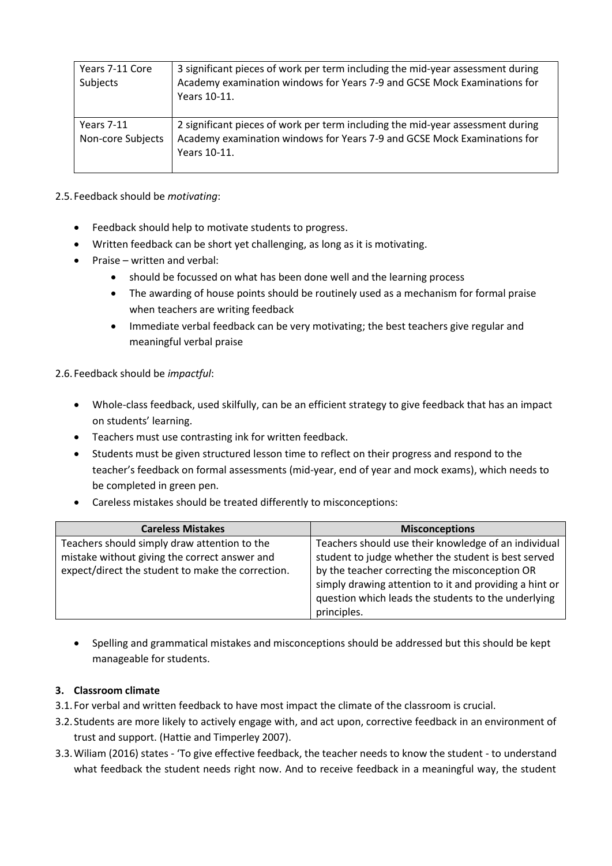| Years 7-11 Core<br>Subjects            | 3 significant pieces of work per term including the mid-year assessment during<br>Academy examination windows for Years 7-9 and GCSE Mock Examinations for<br>Years 10-11. |
|----------------------------------------|----------------------------------------------------------------------------------------------------------------------------------------------------------------------------|
| <b>Years 7-11</b><br>Non-core Subjects | 2 significant pieces of work per term including the mid-year assessment during<br>Academy examination windows for Years 7-9 and GCSE Mock Examinations for<br>Years 10-11. |

2.5.Feedback should be *motivating*:

- Feedback should help to motivate students to progress.
- Written feedback can be short yet challenging, as long as it is motivating.
- Praise written and verbal:
	- should be focussed on what has been done well and the learning process
	- The awarding of house points should be routinely used as a mechanism for formal praise when teachers are writing feedback
	- Immediate verbal feedback can be very motivating; the best teachers give regular and meaningful verbal praise

#### 2.6.Feedback should be *impactful*:

- Whole-class feedback, used skilfully, can be an efficient strategy to give feedback that has an impact on students' learning.
- Teachers must use contrasting ink for written feedback.
- Students must be given structured lesson time to reflect on their progress and respond to the teacher's feedback on formal assessments (mid-year, end of year and mock exams), which needs to be completed in green pen.
- Careless mistakes should be treated differently to misconceptions:

| <b>Careless Mistakes</b>                          | <b>Misconceptions</b>                                  |
|---------------------------------------------------|--------------------------------------------------------|
| Teachers should simply draw attention to the      | Teachers should use their knowledge of an individual   |
| mistake without giving the correct answer and     | student to judge whether the student is best served    |
| expect/direct the student to make the correction. | by the teacher correcting the misconception OR         |
|                                                   | simply drawing attention to it and providing a hint or |
|                                                   | question which leads the students to the underlying    |
|                                                   | principles.                                            |

• Spelling and grammatical mistakes and misconceptions should be addressed but this should be kept manageable for students.

#### **3. Classroom climate**

- 3.1.For verbal and written feedback to have most impact the climate of the classroom is crucial.
- 3.2.Students are more likely to actively engage with, and act upon, corrective feedback in an environment of trust and support. (Hattie and Timperley 2007).
- 3.3.Wiliam (2016) states 'To give effective feedback, the teacher needs to know the student to understand what feedback the student needs right now. And to receive feedback in a meaningful way, the student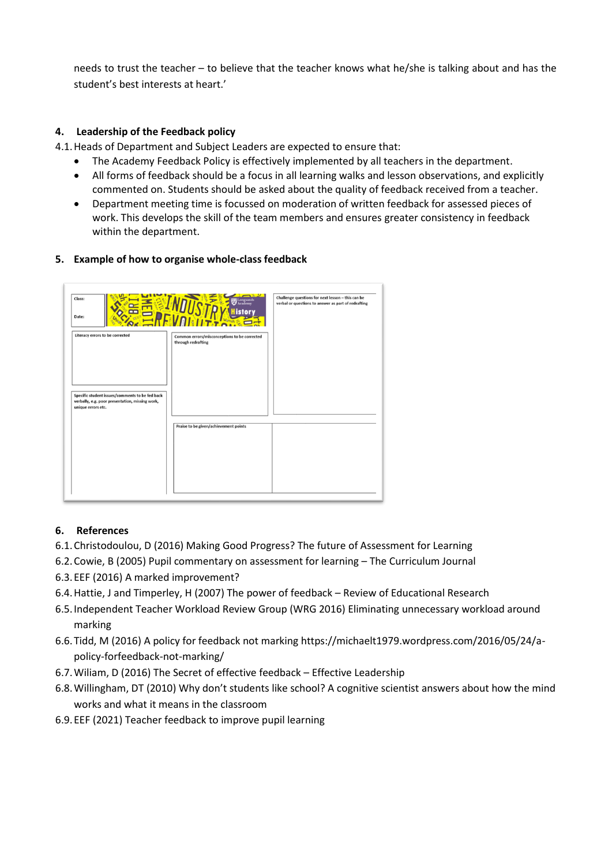needs to trust the teacher – to believe that the teacher knows what he/she is talking about and has the student's best interests at heart.'

#### **4. Leadership of the Feedback policy**

4.1.Heads of Department and Subject Leaders are expected to ensure that:

- The Academy Feedback Policy is effectively implemented by all teachers in the department.
- All forms of feedback should be a focus in all learning walks and lesson observations, and explicitly commented on. Students should be asked about the quality of feedback received from a teacher.
- Department meeting time is focussed on moderation of written feedback for assessed pieces of work. This develops the skill of the team members and ensures greater consistency in feedback within the department.

#### **5. Example of how to organise whole-class feedback**



#### **6. References**

- 6.1.Christodoulou, D (2016) Making Good Progress? The future of Assessment for Learning
- 6.2.Cowie, B (2005) Pupil commentary on assessment for learning The Curriculum Journal
- 6.3.EEF (2016) A marked improvement?
- 6.4.Hattie, J and Timperley, H (2007) The power of feedback Review of Educational Research
- 6.5.Independent Teacher Workload Review Group (WRG 2016) Eliminating unnecessary workload around marking
- 6.6.Tidd, M (2016) A policy for feedback not marking https://michaelt1979.wordpress.com/2016/05/24/apolicy-forfeedback-not-marking/
- 6.7.Wiliam, D (2016) The Secret of effective feedback Effective Leadership
- 6.8.Willingham, DT (2010) Why don't students like school? A cognitive scientist answers about how the mind works and what it means in the classroom
- 6.9.EEF (2021) Teacher feedback to improve pupil learning